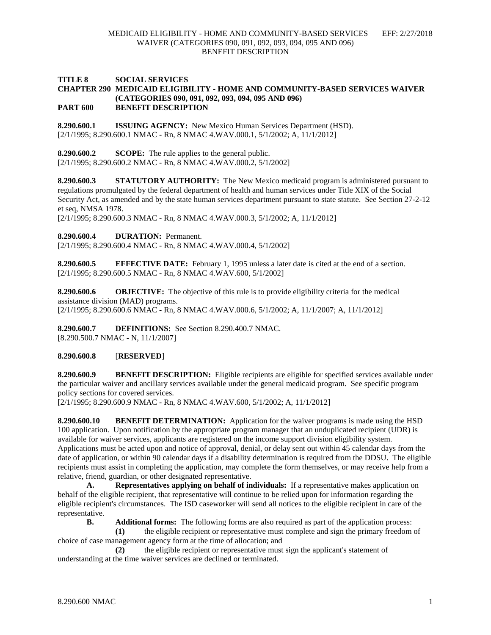## **TITLE 8 SOCIAL SERVICES CHAPTER 290 MEDICAID ELIGIBILITY - HOME AND COMMUNITY-BASED SERVICES WAIVER (CATEGORIES 090, 091, 092, 093, 094, 095 AND 096) PART 600 BENEFIT DESCRIPTION**

**8.290.600.1 ISSUING AGENCY:** New Mexico Human Services Department (HSD). [2/1/1995; 8.290.600.1 NMAC - Rn, 8 NMAC 4.WAV.000.1, 5/1/2002; A, 11/1/2012]

**8.290.600.2 SCOPE:** The rule applies to the general public. [2/1/1995; 8.290.600.2 NMAC - Rn, 8 NMAC 4.WAV.000.2, 5/1/2002]

**8.290.600.3 STATUTORY AUTHORITY:** The New Mexico medicaid program is administered pursuant to regulations promulgated by the federal department of health and human services under Title XIX of the Social Security Act, as amended and by the state human services department pursuant to state statute. See Section 27-2-12 et seq, NMSA 1978.

[2/1/1995; 8.290.600.3 NMAC - Rn, 8 NMAC 4.WAV.000.3, 5/1/2002; A, 11/1/2012]

**8.290.600.4 DURATION:** Permanent.

[2/1/1995; 8.290.600.4 NMAC - Rn, 8 NMAC 4.WAV.000.4, 5/1/2002]

**8.290.600.5 EFFECTIVE DATE:** February 1, 1995 unless a later date is cited at the end of a section. [2/1/1995; 8.290.600.5 NMAC - Rn, 8 NMAC 4.WAV.600, 5/1/2002]

**8.290.600.6 OBJECTIVE:** The objective of this rule is to provide eligibility criteria for the medical assistance division (MAD) programs. [2/1/1995; 8.290.600.6 NMAC - Rn, 8 NMAC 4.WAV.000.6, 5/1/2002; A, 11/1/2007; A, 11/1/2012]

**8.290.600.7 DEFINITIONS:** See Section 8.290.400.7 NMAC. [8.290.500.7 NMAC - N, 11/1/2007]

**8.290.600.8** [**RESERVED**]

**8.290.600.9 BENEFIT DESCRIPTION:** Eligible recipients are eligible for specified services available under the particular waiver and ancillary services available under the general medicaid program. See specific program policy sections for covered services.

[2/1/1995; 8.290.600.9 NMAC - Rn, 8 NMAC 4.WAV.600, 5/1/2002; A, 11/1/2012]

**8.290.600.10 BENEFIT DETERMINATION:** Application for the waiver programs is made using the HSD 100 application. Upon notification by the appropriate program manager that an unduplicated recipient (UDR) is available for waiver services, applicants are registered on the income support division eligibility system. Applications must be acted upon and notice of approval, denial, or delay sent out within 45 calendar days from the date of application, or within 90 calendar days if a disability determination is required from the DDSU. The eligible recipients must assist in completing the application, may complete the form themselves, or may receive help from a relative, friend, guardian, or other designated representative.

**A. Representatives applying on behalf of individuals:** If a representative makes application on behalf of the eligible recipient, that representative will continue to be relied upon for information regarding the eligible recipient's circumstances. The ISD caseworker will send all notices to the eligible recipient in care of the representative.

**B. Additional forms:** The following forms are also required as part of the application process:

**(1)** the eligible recipient or representative must complete and sign the primary freedom of choice of case management agency form at the time of allocation; and

**(2)** the eligible recipient or representative must sign the applicant's statement of understanding at the time waiver services are declined or terminated.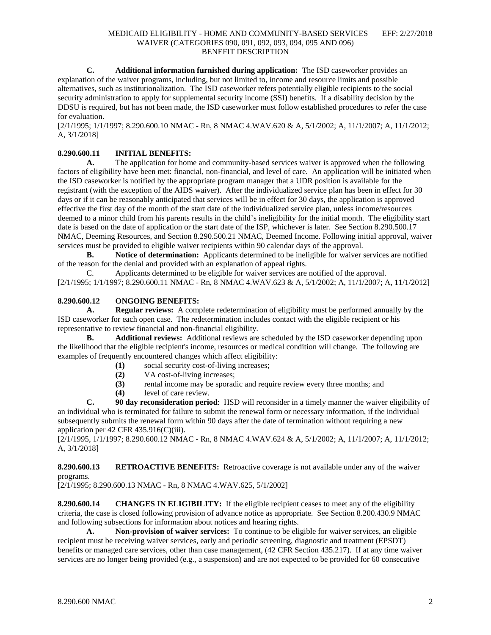**C. Additional information furnished during application:** The ISD caseworker provides an explanation of the waiver programs, including, but not limited to, income and resource limits and possible alternatives, such as institutionalization. The ISD caseworker refers potentially eligible recipients to the social security administration to apply for supplemental security income (SSI) benefits. If a disability decision by the DDSU is required, but has not been made, the ISD caseworker must follow established procedures to refer the case for evaluation.

[2/1/1995; 1/1/1997; 8.290.600.10 NMAC - Rn, 8 NMAC 4.WAV.620 & A, 5/1/2002; A, 11/1/2007; A, 11/1/2012; A, 3/1/2018]

# **8.290.600.11 INITIAL BENEFITS:**

**A.** The application for home and community-based services waiver is approved when the following factors of eligibility have been met: financial, non-financial, and level of care. An application will be initiated when the ISD caseworker is notified by the appropriate program manager that a UDR position is available for the registrant (with the exception of the AIDS waiver). After the individualized service plan has been in effect for 30 days or if it can be reasonably anticipated that services will be in effect for 30 days, the application is approved effective the first day of the month of the start date of the individualized service plan, unless income/resources deemed to a minor child from his parents results in the child's ineligibility for the initial month. The eligibility start date is based on the date of application or the start date of the ISP, whichever is later. See Section 8.290.500.17 NMAC, Deeming Resources, and Section 8.290.500.21 NMAC, Deemed Income. Following initial approval, waiver services must be provided to eligible waiver recipients within 90 calendar days of the approval.

**B. Notice of determination:** Applicants determined to be ineligible for waiver services are notified of the reason for the denial and provided with an explanation of appeal rights.

C. Applicants determined to be eligible for waiver services are notified of the approval. [2/1/1995; 1/1/1997; 8.290.600.11 NMAC - Rn, 8 NMAC 4.WAV.623 & A, 5/1/2002; A, 11/1/2007; A, 11/1/2012]

# **8.290.600.12 ONGOING BENEFITS:**

**A. Regular reviews:** A complete redetermination of eligibility must be performed annually by the ISD caseworker for each open case. The redetermination includes contact with the eligible recipient or his representative to review financial and non-financial eligibility.<br> **B.** Additional reviews: Additional reviews are

**B. Additional reviews:** Additional reviews are scheduled by the ISD caseworker depending upon the likelihood that the eligible recipient's income, resources or medical condition will change. The following are examples of frequently encountered changes which affect eligibility:

- **(1)** social security cost-of-living increases;
- **(2)** VA cost-of-living increases;
- **(3)** rental income may be sporadic and require review every three months; and
- **(4)** level of care review.

**C. 90 day reconsideration period**: HSD will reconsider in a timely manner the waiver eligibility of an individual who is terminated for failure to submit the renewal form or necessary information, if the individual subsequently submits the renewal form within 90 days after the date of termination without requiring a new application per 42 CFR 435.916(C)(iii).

[2/1/1995, 1/1/1997; 8.290.600.12 NMAC - Rn, 8 NMAC 4.WAV.624 & A, 5/1/2002; A, 11/1/2007; A, 11/1/2012; A, 3/1/2018]

**8.290.600.13 RETROACTIVE BENEFITS:** Retroactive coverage is not available under any of the waiver programs.

[2/1/1995; 8.290.600.13 NMAC - Rn, 8 NMAC 4.WAV.625, 5/1/2002]

**8.290.600.14 CHANGES IN ELIGIBILITY:** If the eligible recipient ceases to meet any of the eligibility criteria, the case is closed following provision of advance notice as appropriate. See Section 8.200.430.9 NMAC and following subsections for information about notices and hearing rights.

**A. Non-provision of waiver services:** To continue to be eligible for waiver services, an eligible recipient must be receiving waiver services, early and periodic screening, diagnostic and treatment (EPSDT) benefits or managed care services, other than case management, (42 CFR Section 435.217). If at any time waiver services are no longer being provided (e.g., a suspension) and are not expected to be provided for 60 consecutive